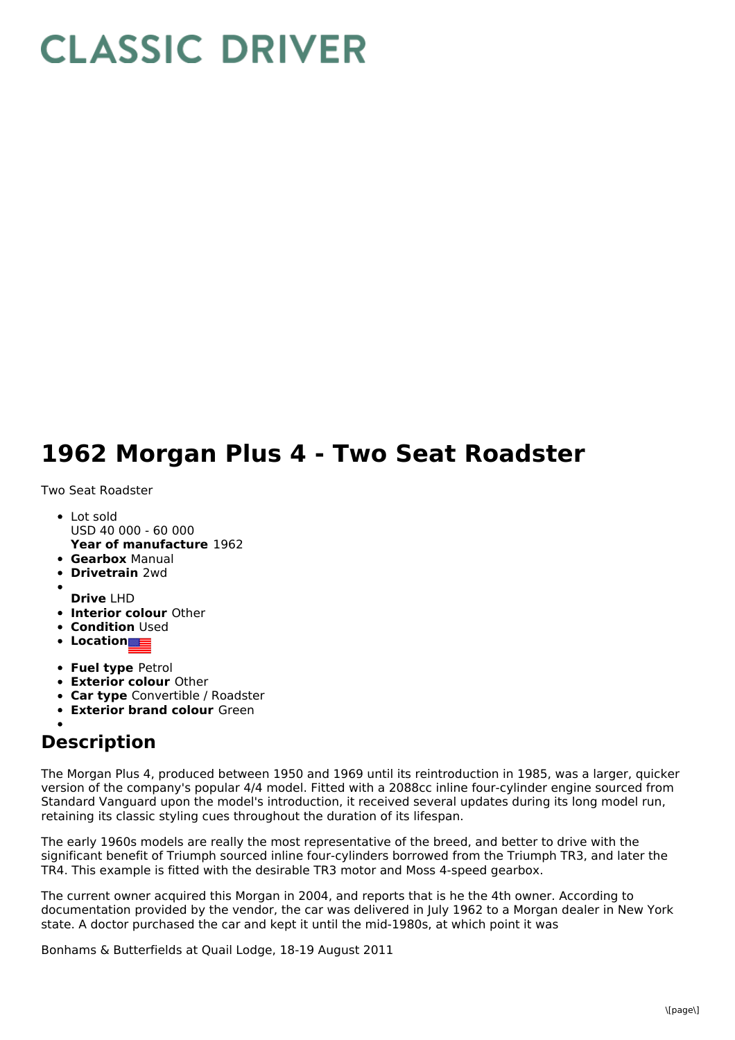## **CLASSIC DRIVER**

## **1962 Morgan Plus 4 - Two Seat Roadster**

Two Seat Roadster

- **Year of manufacture** 1962 Lot sold USD 40 000 - 60 000
- **Gearbox** Manual
- **Drivetrain** 2wd
- 
- **Drive** LHD
- **Interior colour** Other
- **Condition Used**
- **Location**
- **Fuel type** Petrol
- **Exterior colour** Other
- **Car type** Convertible / Roadster
- **Exterior brand colour** Green

## **Description**

The Morgan Plus 4, produced between 1950 and 1969 until its reintroduction in 1985, was a larger, quicker version of the company's popular 4/4 model. Fitted with a 2088cc inline four-cylinder engine sourced from Standard Vanguard upon the model's introduction, it received several updates during its long model run, retaining its classic styling cues throughout the duration of its lifespan.

The early 1960s models are really the most representative of the breed, and better to drive with the significant benefit of Triumph sourced inline four-cylinders borrowed from the Triumph TR3, and later the TR4. This example is fitted with the desirable TR3 motor and Moss 4-speed gearbox.

The current owner acquired this Morgan in 2004, and reports that is he the 4th owner. According to documentation provided by the vendor, the car was delivered in July 1962 to a Morgan dealer in New York state. A doctor purchased the car and kept it until the mid-1980s, at which point it was

Bonhams & Butterfields at Quail Lodge, 18-19 August 2011